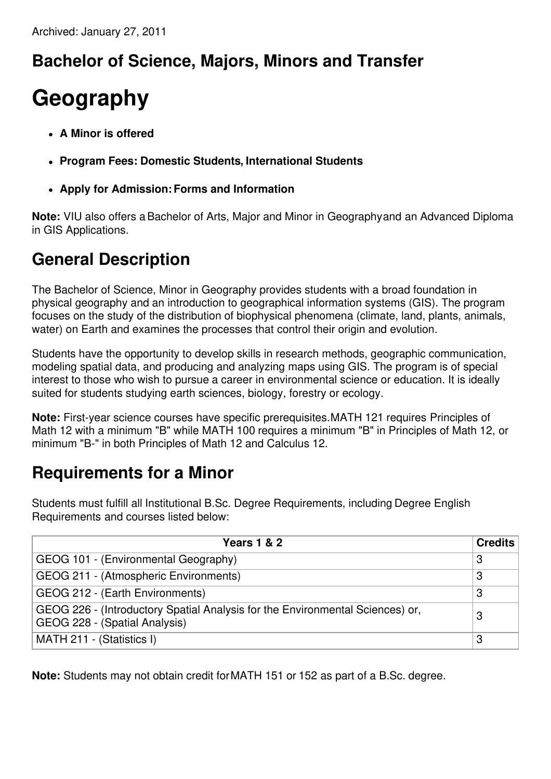## **Bachelor of Science, Majors, Minors and Transfer**

## **Geography**

- **A Minor is offered**
- **Program Fees: Domestic Students, International Students**
- **Apply for Admission:Forms and Information**

**Note:** VIU also offers aBachelor of Arts, Major and Minor in Geographyand an Advanced Diploma in GIS Applications.

## **General Description**

The Bachelor of Science, Minor in Geography provides students with a broad foundation in physical geography and an introduction to geographical information systems (GIS). The program focuses on the study of the distribution of biophysical phenomena (climate, land, plants, animals, water) on Earth and examines the processes that control their origin and evolution.

Students have the opportunity to develop skills in research methods, geographic communication, modeling spatial data, and producing and analyzing maps using GIS. The program is of special interest to those who wish to pursue a career in environmental science or education. It is ideally suited for students studying earth sciences, biology, forestry or ecology.

**Note:** First-year science courses have specific prerequisites.MATH 121 requires Principles of Math 12 with a minimum "B" while MATH 100 requires a minimum "B" in Principles of Math 12, or minimum "B-" in both Principles of Math 12 and Calculus 12.

## **Requirements for a Minor**

Students must fulfill all Institutional B.Sc. Degree Requirements, including Degree English Requirements and courses listed below:

| <b>Years 1 &amp; 2</b>                                                                                         | <b>Credits</b> |
|----------------------------------------------------------------------------------------------------------------|----------------|
| GEOG 101 - (Environmental Geography)                                                                           | -3             |
| GEOG 211 - (Atmospheric Environments)                                                                          | 3              |
| GEOG 212 - (Earth Environments)                                                                                | 3              |
| GEOG 226 - (Introductory Spatial Analysis for the Environmental Sciences) or,<br>GEOG 228 - (Spatial Analysis) | З              |
| MATH 211 - (Statistics I)                                                                                      | З              |

**Note:** Students may not obtain credit forMATH 151 or 152 as part of a B.Sc. degree.